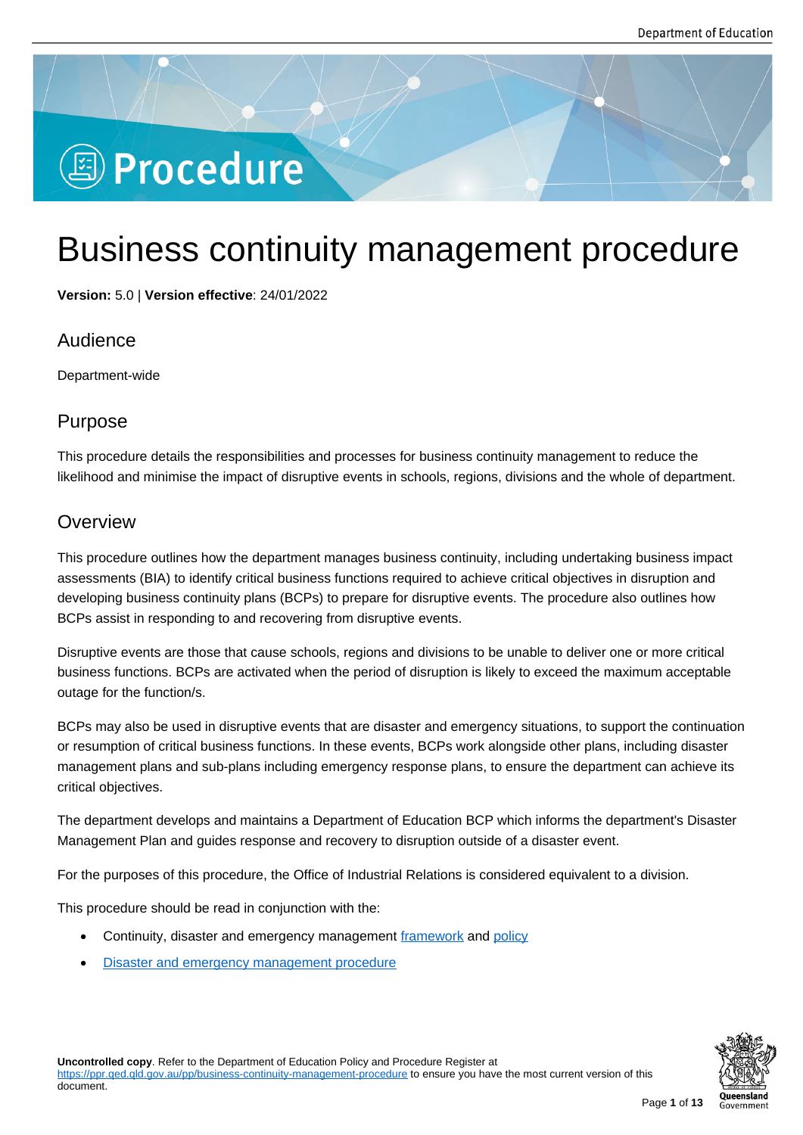# **图 Procedure**

## Business continuity management procedure

**Version:** 5.0 | **Version effective**: 24/01/2022

## Audience

Department-wide

## Purpose

This procedure details the responsibilities and processes for business continuity management to reduce the likelihood and minimise the impact of disruptive events in schools, regions, divisions and the whole of department.

## **Overview**

This procedure outlines how the department manages business continuity, including undertaking business impact assessments (BIA) to identify critical business functions required to achieve critical objectives in disruption and developing business continuity plans (BCPs) to prepare for disruptive events. The procedure also outlines how BCPs assist in responding to and recovering from disruptive events.

Disruptive events are those that cause schools, regions and divisions to be unable to deliver one or more critical business functions. BCPs are activated when the period of disruption is likely to exceed the maximum acceptable outage for the function/s.

BCPs may also be used in disruptive events that are disaster and emergency situations, to support the continuation or resumption of critical business functions. In these events, BCPs work alongside other plans, including disaster management plans and sub-plans including emergency response plans, to ensure the department can achieve its critical objectives.

The department develops and maintains a Department of Education BCP which informs the department's Disaster Management Plan and guides response and recovery to disruption outside of a disaster event.

For the purposes of this procedure, the Office of Industrial Relations is considered equivalent to a division.

This procedure should be read in conjunction with the:

- Continuity, disaster and emergency management framework and policy
- Disaster and emergency management procedure

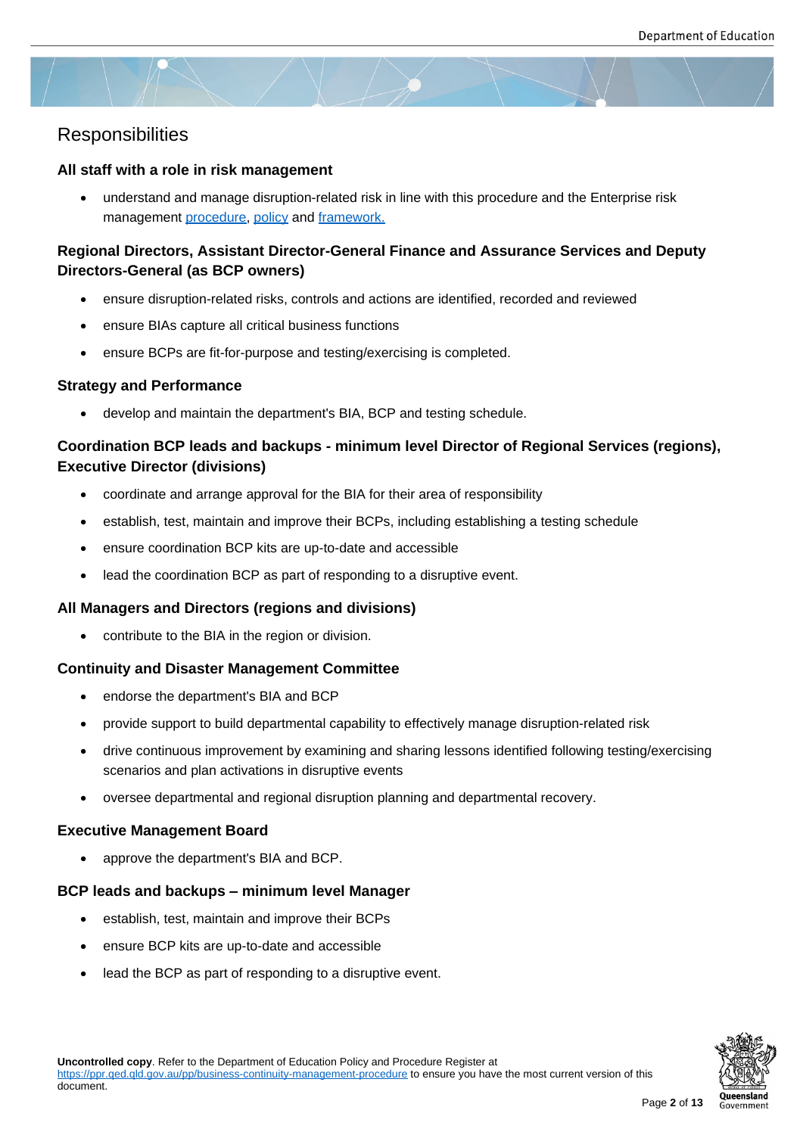## **Responsibilities**

#### **All staff with a role in risk management**

 understand and manage disruption-related risk in line with this procedure and the Enterprise risk management procedure, policy and framework.

### **Regional Directors, Assistant Director-General Finance and Assurance Services and Deputy Directors-General [\(as BCP](https://ppr.qed.qld.gov.au/pp/enterprise-risk-management-procedure) [owner](https://ppr.qed.qld.gov.au/pp/enterprise-risk-management-policy)s)**

- ensure disruption-related risks, controls and actions are identified, recorded and reviewed
- ensure BIAs capture all critical business functions
- ensure BCPs are fit-for-purpose and testing/exercising is completed.

#### **Strategy and Performance**

develop and maintain the department's BIA, BCP and testing schedule.

#### **Coordination BCP leads and backups - minimum level Director of Regional Services (regions), Executive Director (divisions)**

- coordinate and arrange approval for the BIA for their area of responsibility
- establish, test, maintain and improve their BCPs, including establishing a testing schedule
- ensure coordination BCP kits are up-to-date and accessible
- lead the coordination BCP as part of responding to a disruptive event.

#### **All Managers and Directors (regions and divisions)**

contribute to the BIA in the region or division.

#### **Continuity and Disaster Management Committee**

- endorse the department's BIA and BCP
- provide support to build departmental capability to effectively manage disruption-related risk
- drive continuous improvement by examining and sharing lessons identified following testing/exercising scenarios and plan activations in disruptive events
- oversee departmental and regional disruption planning and departmental recovery.

#### **Executive Management Board**

• approve the department's BIA and BCP.

#### **BCP leads and backups – minimum level Manager**

- establish, test, maintain and improve their BCPs
- ensure BCP kits are up-to-date and accessible
- lead the BCP as part of responding to a disruptive event.

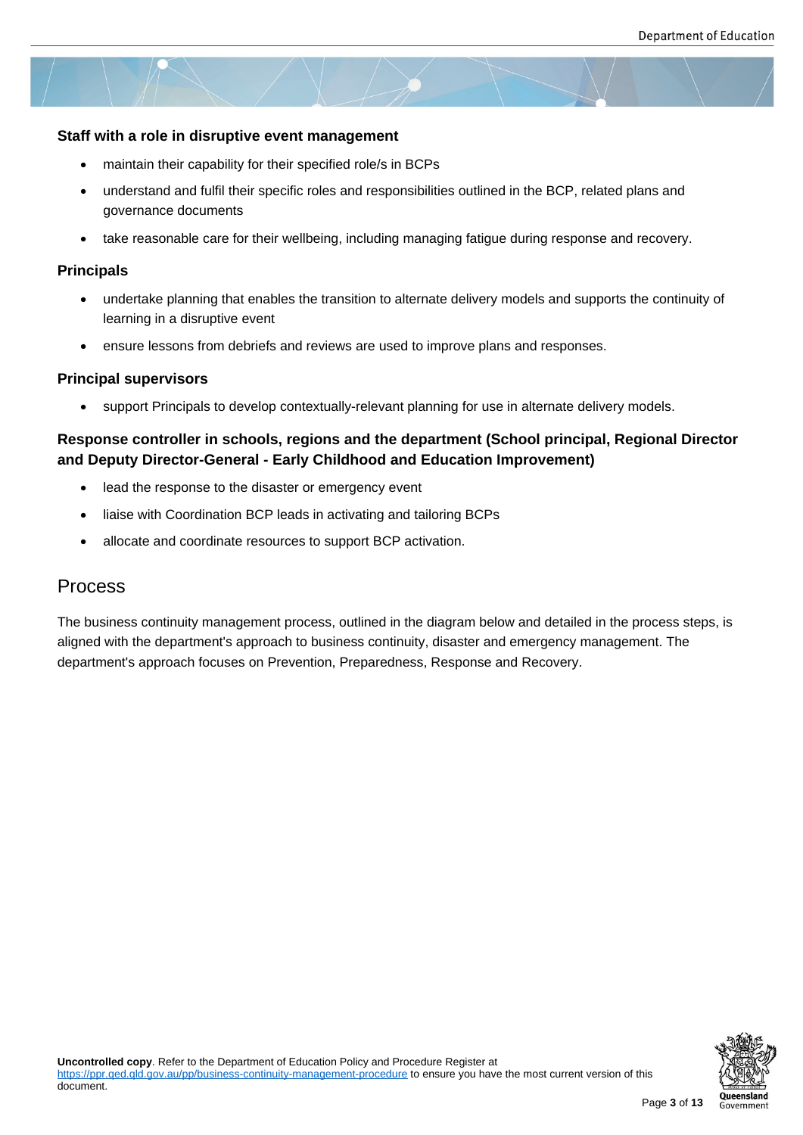#### **Staff with a role in disruptive event management**

- maintain their capability for their specified role/s in BCPs
- understand and fulfil their specific roles and responsibilities outlined in the BCP, related plans and governance documents
- take reasonable care for their wellbeing, including managing fatigue during response and recovery.

#### **Principals**

- undertake planning that enables the transition to alternate delivery models and supports the continuity of learning in a disruptive event
- ensure lessons from debriefs and reviews are used to improve plans and responses.

#### **Principal supervisors**

support Principals to develop contextually-relevant planning for use in alternate delivery models.

## **Response controller in schools, regions and the department (School principal, Regional Director and Deputy Director-General - Early Childhood and Education Improvement)**

- lead the response to the disaster or emergency event
- liaise with Coordination BCP leads in activating and tailoring BCPs
- allocate and coordinate resources to support BCP activation.

## Process

The business continuity management process, outlined in the diagram below and detailed in the process steps, is aligned with the department's approach to business continuity, disaster and emergency management. The department's approach focuses on Prevention, Preparedness, Response and Recovery.



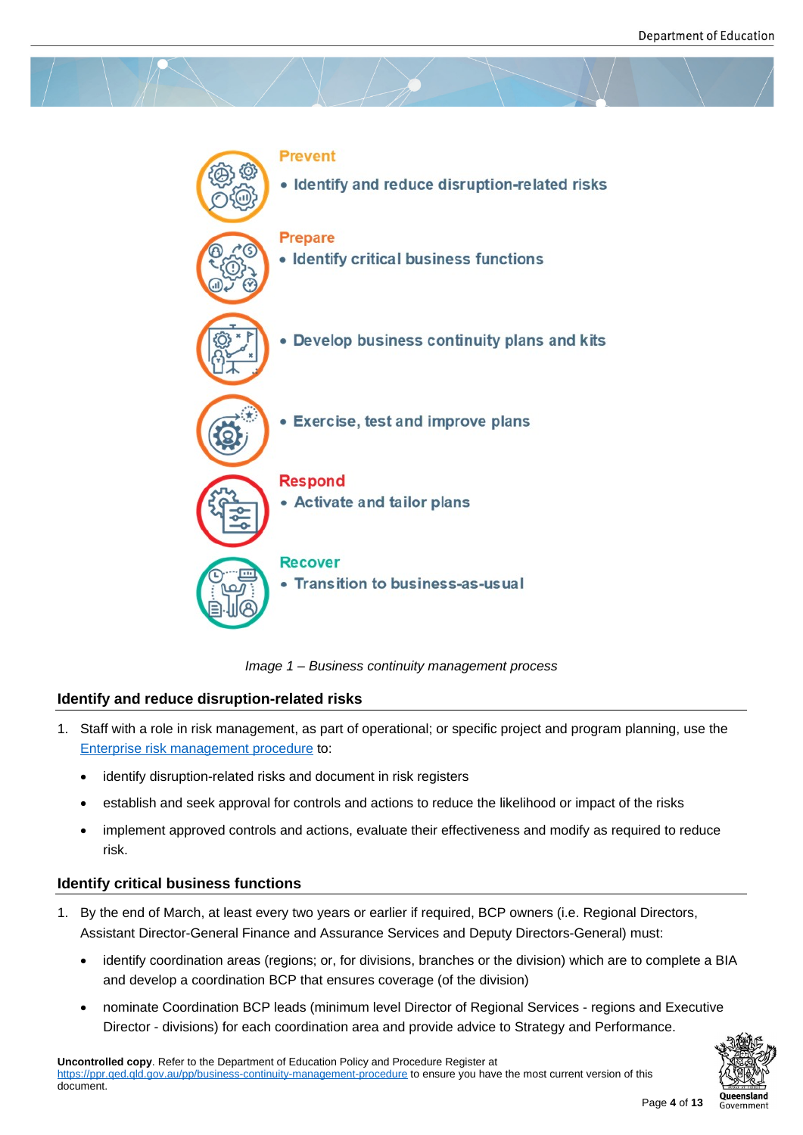

*Image 1 – Business continuity management process*

## **Identify and reduce disruption-related risks**

- 1. Staff with a role in risk management, as part of operational; or specific project and program planning, use the Enterprise risk management procedure to:
	- identify disruption-related risks and document in risk registers
	- [establish and seek approval for con](https://ppr.qed.qld.gov.au/pp/enterprise-risk-management-procedure)trols and actions to reduce the likelihood or impact of the risks
	- implement approved controls and actions, evaluate their effectiveness and modify as required to reduce risk.

## **Identify critical business functions**

- 1. By the end of March, at least every two years or earlier if required, BCP owners (i.e. Regional Directors, Assistant Director-General Finance and Assurance Services and Deputy Directors-General) must:
	- identify coordination areas (regions; or, for divisions, branches or the division) which are to complete a BIA and develop a coordination BCP that ensures coverage (of the division)
	- nominate Coordination BCP leads (minimum level Director of Regional Services regions and Executive Director - divisions) for each coordination area and provide advice to Strategy and Performance.

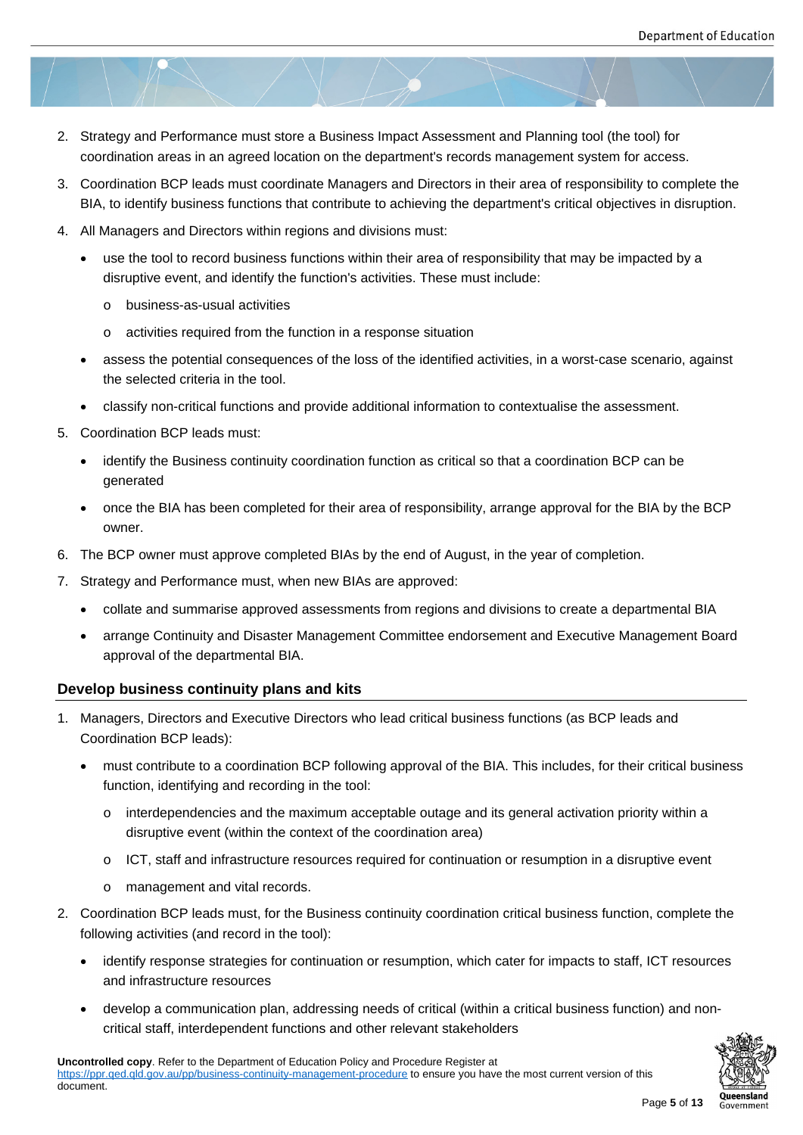- 2. Strategy and Performance must store a Business Impact Assessment and Planning tool (the tool) for coordination areas in an agreed location on the department's records management system for access.
- 3. Coordination BCP leads must coordinate Managers and Directors in their area of responsibility to complete the BIA, to identify business functions that contribute to achieving the department's critical objectives in disruption.
- 4. All Managers and Directors within regions and divisions must:
	- use the tool to record business functions within their area of responsibility that may be impacted by a disruptive event, and identify the function's activities. These must include:
		- o business-as-usual activities
		- o activities required from the function in a response situation
	- assess the potential consequences of the loss of the identified activities, in a worst-case scenario, against the selected criteria in the tool.
	- classify non-critical functions and provide additional information to contextualise the assessment.
- 5. Coordination BCP leads must:
	- identify the Business continuity coordination function as critical so that a coordination BCP can be generated
	- once the BIA has been completed for their area of responsibility, arrange approval for the BIA by the BCP owner.
- 6. The BCP owner must approve completed BIAs by the end of August, in the year of completion.
- 7. Strategy and Performance must, when new BIAs are approved:
	- collate and summarise approved assessments from regions and divisions to create a departmental BIA
	- arrange Continuity and Disaster Management Committee endorsement and Executive Management Board approval of the departmental BIA.

#### **Develop business continuity plans and kits**

- 1. Managers, Directors and Executive Directors who lead critical business functions (as BCP leads and Coordination BCP leads):
	- must contribute to a coordination BCP following approval of the BIA. This includes, for their critical business function, identifying and recording in the tool:
		- $\circ$  interdependencies and the maximum acceptable outage and its general activation priority within a disruptive event (within the context of the coordination area)
		- o ICT, staff and infrastructure resources required for continuation or resumption in a disruptive event
		- o management and vital records.
- 2. Coordination BCP leads must, for the Business continuity coordination critical business function, complete the following activities (and record in the tool):
	- identify response strategies for continuation or resumption, which cater for impacts to staff, ICT resources and infrastructure resources
	- develop a communication plan, addressing needs of critical (within a critical business function) and noncritical staff, interdependent functions and other relevant stakeholders

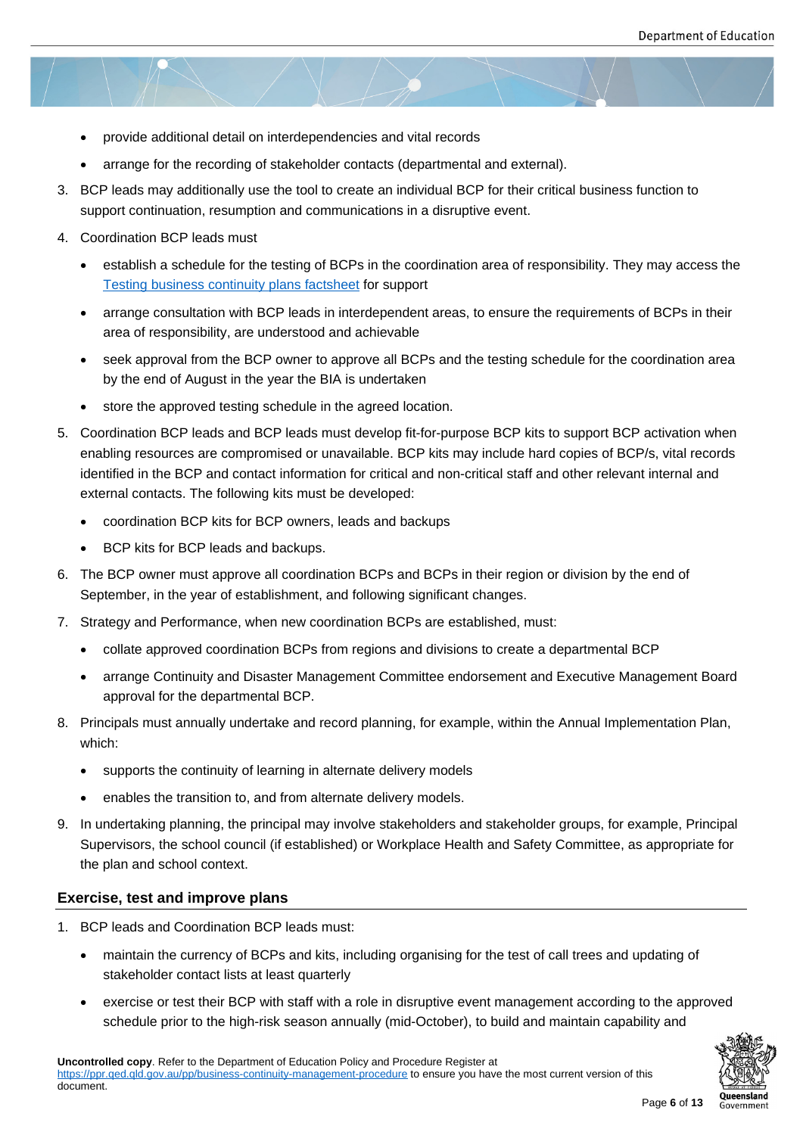- provide additional detail on interdependencies and vital records
- arrange for the recording of stakeholder contacts (departmental and external).
- 3. BCP leads may additionally use the tool to create an individual BCP for their critical business function to support continuation, resumption and communications in a disruptive event.
- 4. Coordination BCP leads must
	- establish a schedule for the testing of BCPs in the coordination area of responsibility. They may access the Testing business continuity plans factsheet for support
	- arrange consultation with BCP leads in interdependent areas, to ensure the requirements of BCPs in their area of responsibility, are understood and achievable
	- [seek approval from the BCP owner to appro](https://ppr.qed.qld.gov.au/attachment/testing-business-continuity-plans-factsheet.docx)ve all BCPs and the testing schedule for the coordination area by the end of August in the year the BIA is undertaken
	- store the approved testing schedule in the agreed location.
- 5. Coordination BCP leads and BCP leads must develop fit-for-purpose BCP kits to support BCP activation when enabling resources are compromised or unavailable. BCP kits may include hard copies of BCP/s, vital records identified in the BCP and contact information for critical and non-critical staff and other relevant internal and external contacts. The following kits must be developed:
	- coordination BCP kits for BCP owners, leads and backups
	- BCP kits for BCP leads and backups.
- 6. The BCP owner must approve all coordination BCPs and BCPs in their region or division by the end of September, in the year of establishment, and following significant changes.
- 7. Strategy and Performance, when new coordination BCPs are established, must:
	- collate approved coordination BCPs from regions and divisions to create a departmental BCP
	- arrange Continuity and Disaster Management Committee endorsement and Executive Management Board approval for the departmental BCP.
- 8. Principals must annually undertake and record planning, for example, within the Annual Implementation Plan, which:
	- supports the continuity of learning in alternate delivery models
	- enables the transition to, and from alternate delivery models.
- 9. In undertaking planning, the principal may involve stakeholders and stakeholder groups, for example, Principal Supervisors, the school council (if established) or Workplace Health and Safety Committee, as appropriate for the plan and school context.

#### **Exercise, test and improve plans**

- 1. BCP leads and Coordination BCP leads must:
	- maintain the currency of BCPs and kits, including organising for the test of call trees and updating of stakeholder contact lists at least quarterly
	- exercise or test their BCP with staff with a role in disruptive event management according to the approved schedule prior to the high-risk season annually (mid-October), to build and maintain capability and

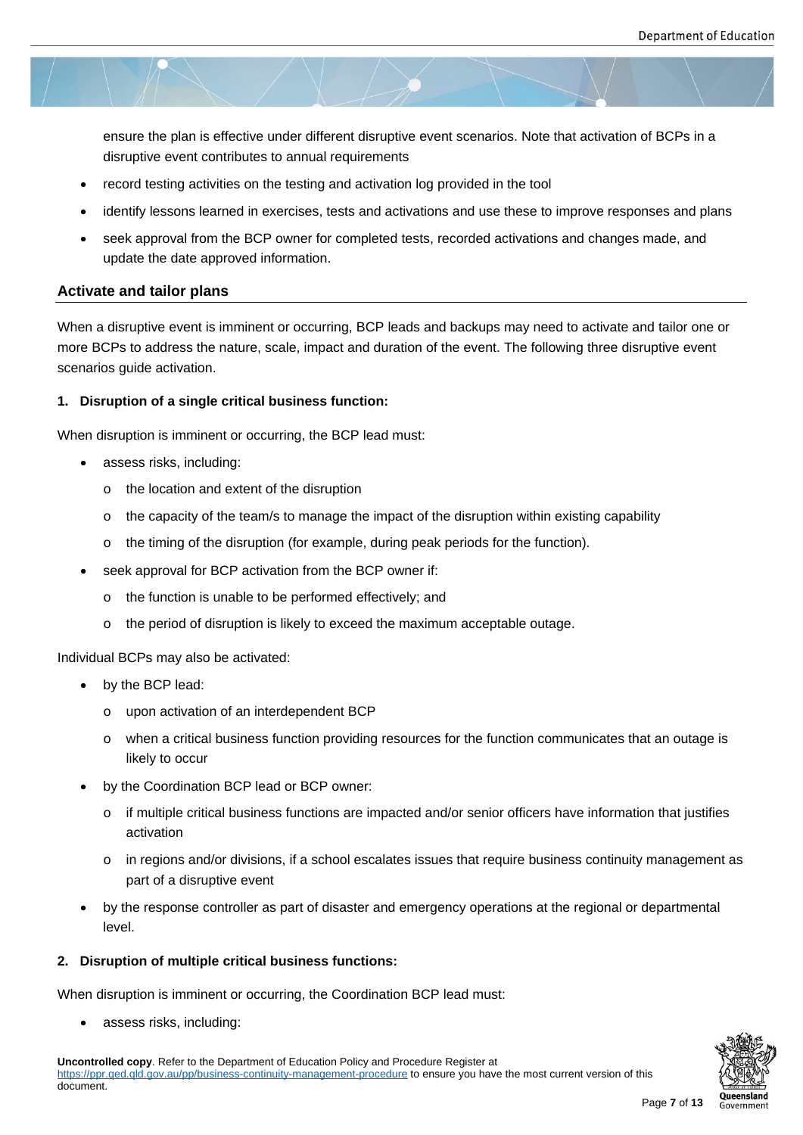ensure the plan is effective under different disruptive event scenarios. Note that activation of BCPs in a disruptive event contributes to annual requirements

- record testing activities on the testing and activation log provided in the tool
- identify lessons learned in exercises, tests and activations and use these to improve responses and plans
- seek approval from the BCP owner for completed tests, recorded activations and changes made, and update the date approved information.

#### **Activate and tailor plans**

When a disruptive event is imminent or occurring, BCP leads and backups may need to activate and tailor one or more BCPs to address the nature, scale, impact and duration of the event. The following three disruptive event scenarios guide activation.

#### **1. Disruption of a single critical business function:**

When disruption is imminent or occurring, the BCP lead must:

- assess risks, including:
	- o the location and extent of the disruption
	- $\circ$  the capacity of the team/s to manage the impact of the disruption within existing capability
	- $\circ$  the timing of the disruption (for example, during peak periods for the function).
- seek approval for BCP activation from the BCP owner if:
	- o the function is unable to be performed effectively; and
	- o the period of disruption is likely to exceed the maximum acceptable outage.

Individual BCPs may also be activated:

- by the BCP lead:
	- o upon activation of an interdependent BCP
	- o when a critical business function providing resources for the function communicates that an outage is likely to occur
- by the Coordination BCP lead or BCP owner:
	- $\circ$  if multiple critical business functions are impacted and/or senior officers have information that justifies activation
	- o in regions and/or divisions, if a school escalates issues that require business continuity management as part of a disruptive event
- by the response controller as part of disaster and emergency operations at the regional or departmental level.

#### **2. Disruption of multiple critical business functions:**

When disruption is imminent or occurring, the Coordination BCP lead must:

assess risks, including:

**Uncontrolled copy**. Refer to the Department of Education Policy and Procedure Register at https://ppr.qed.qld.gov.au/pp/business-continuity-management-procedure to ensure you have the most current version of this document.

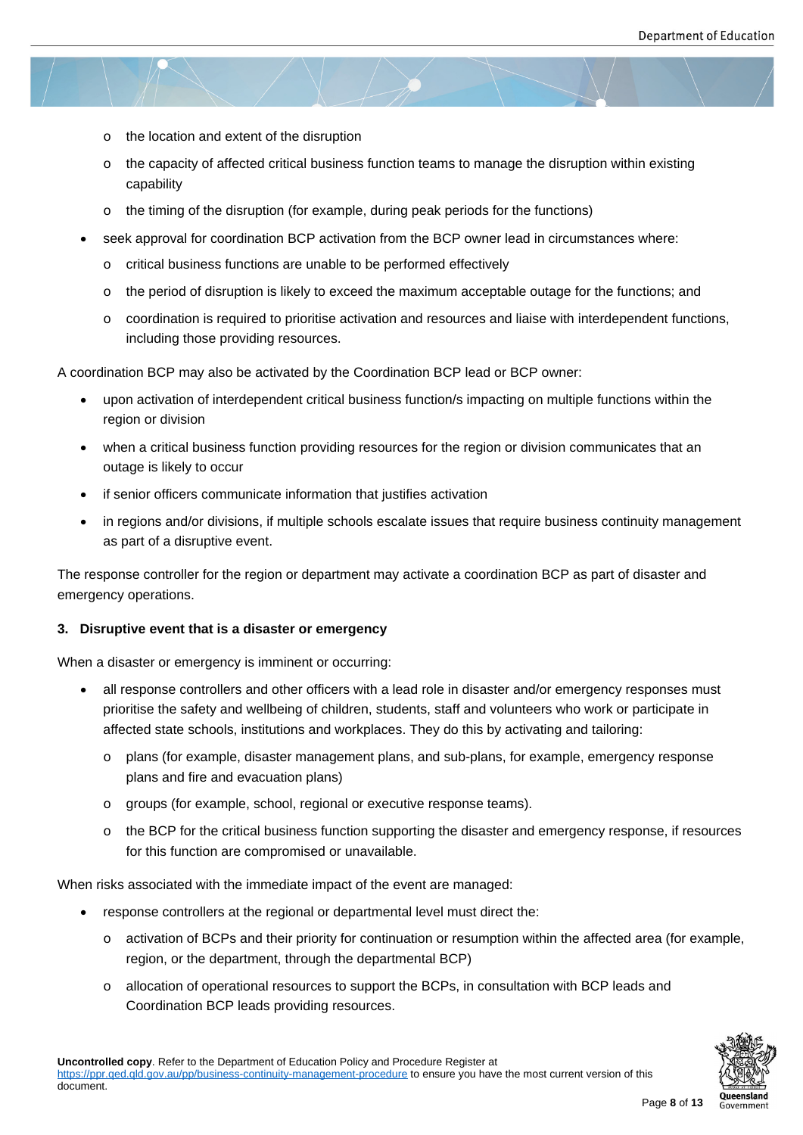- o the location and extent of the disruption
- o the capacity of affected critical business function teams to manage the disruption within existing capability
- $\circ$  the timing of the disruption (for example, during peak periods for the functions)
- seek approval for coordination BCP activation from the BCP owner lead in circumstances where:
	- o critical business functions are unable to be performed effectively
	- o the period of disruption is likely to exceed the maximum acceptable outage for the functions; and
	- o coordination is required to prioritise activation and resources and liaise with interdependent functions, including those providing resources.

A coordination BCP may also be activated by the Coordination BCP lead or BCP owner:

- upon activation of interdependent critical business function/s impacting on multiple functions within the region or division
- when a critical business function providing resources for the region or division communicates that an outage is likely to occur
- if senior officers communicate information that justifies activation
- in regions and/or divisions, if multiple schools escalate issues that require business continuity management as part of a disruptive event.

The response controller for the region or department may activate a coordination BCP as part of disaster and emergency operations.

#### **3. Disruptive event that is a disaster or emergency**

When a disaster or emergency is imminent or occurring:

- all response controllers and other officers with a lead role in disaster and/or emergency responses must prioritise the safety and wellbeing of children, students, staff and volunteers who work or participate in affected state schools, institutions and workplaces. They do this by activating and tailoring:
	- o plans (for example, disaster management plans, and sub-plans, for example, emergency response plans and fire and evacuation plans)
	- o groups (for example, school, regional or executive response teams).
	- o the BCP for the critical business function supporting the disaster and emergency response, if resources for this function are compromised or unavailable.

When risks associated with the immediate impact of the event are managed:

- response controllers at the regional or departmental level must direct the:
	- o activation of BCPs and their priority for continuation or resumption within the affected area (for example, region, or the department, through the departmental BCP)
	- o allocation of operational resources to support the BCPs, in consultation with BCP leads and Coordination BCP leads providing resources.

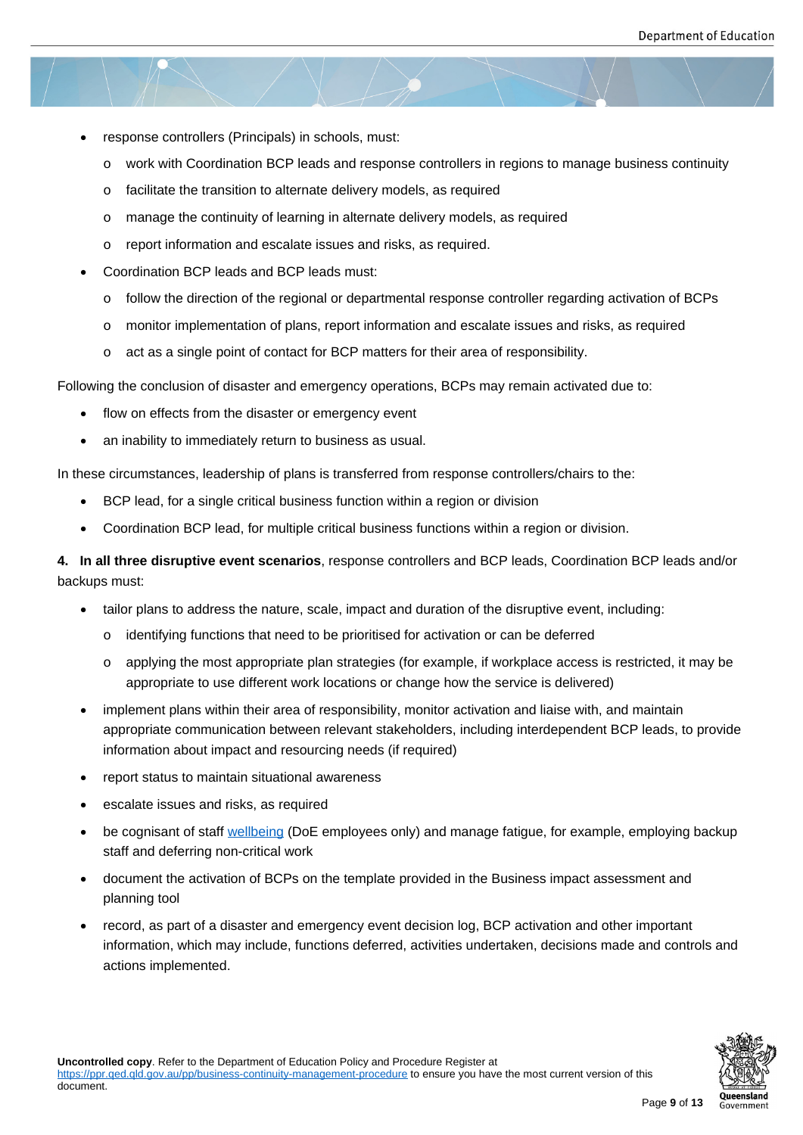- response controllers (Principals) in schools, must:
	- o work with Coordination BCP leads and response controllers in regions to manage business continuity
	- o facilitate the transition to alternate delivery models, as required
	- o manage the continuity of learning in alternate delivery models, as required
	- o report information and escalate issues and risks, as required.
- Coordination BCP leads and BCP leads must:
	- o follow the direction of the regional or departmental response controller regarding activation of BCPs
	- o monitor implementation of plans, report information and escalate issues and risks, as required
	- o act as a single point of contact for BCP matters for their area of responsibility.

Following the conclusion of disaster and emergency operations, BCPs may remain activated due to:

- flow on effects from the disaster or emergency event
- an inability to immediately return to business as usual.

In these circumstances, leadership of plans is transferred from response controllers/chairs to the:

- BCP lead, for a single critical business function within a region or division
- Coordination BCP lead, for multiple critical business functions within a region or division.

**4. In all three disruptive event scenarios**, response controllers and BCP leads, Coordination BCP leads and/or backups must:

- tailor plans to address the nature, scale, impact and duration of the disruptive event, including:
	- o identifying functions that need to be prioritised for activation or can be deferred
	- o applying the most appropriate plan strategies (for example, if workplace access is restricted, it may be appropriate to use different work locations or change how the service is delivered)
- implement plans within their area of responsibility, monitor activation and liaise with, and maintain appropriate communication between relevant stakeholders, including interdependent BCP leads, to provide information about impact and resourcing needs (if required)
- report status to maintain situational awareness
- escalate issues and risks, as required
- be cognisant of staff wellbeing (DoE employees only) and manage fatigue, for example, employing backup staff and deferring non-critical work
- document the activation of BCPs on the template provided in the Business impact assessment and planning tool
- record, as part of a disaster and emergency event decision log, BCP activation and other important information, which may include, functions deferred, activities undertaken, decisions made and controls and actions implemented.

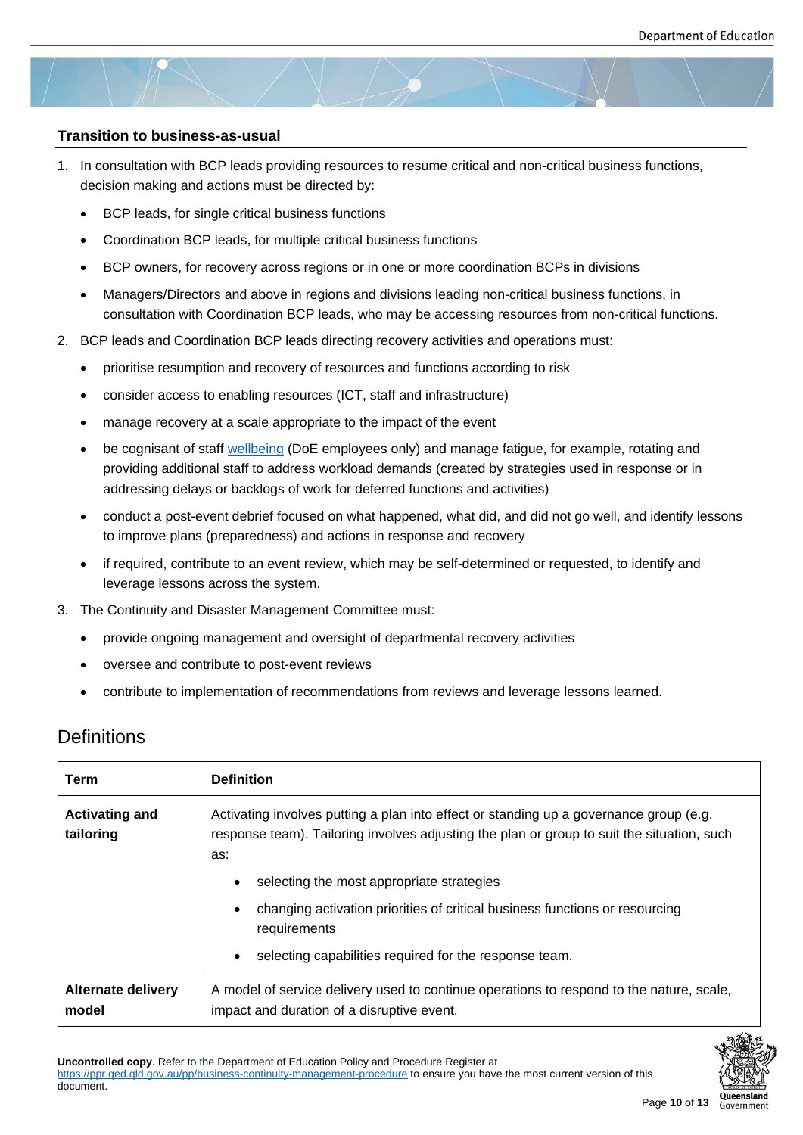#### **Transition to business-as-usual**

- 1. In consultation with BCP leads providing resources to resume critical and non-critical business functions, decision making and actions must be directed by:
	- BCP leads, for single critical business functions
	- Coordination BCP leads, for multiple critical business functions
	- BCP owners, for recovery across regions or in one or more coordination BCPs in divisions
	- Managers/Directors and above in regions and divisions leading non-critical business functions, in consultation with Coordination BCP leads, who may be accessing resources from non-critical functions.
- 2. BCP leads and Coordination BCP leads directing recovery activities and operations must:
	- prioritise resumption and recovery of resources and functions according to risk
	- consider access to enabling resources (ICT, staff and infrastructure)
	- manage recovery at a scale appropriate to the impact of the event
	- be cognisant of staff wellbeing (DoE employees only) and manage fatigue, for example, rotating and providing additional staff to address workload demands (created by strategies used in response or in addressing delays or backlogs of work for deferred functions and activities)
	- conduct a post-even[t debrief fo](https://intranet.qed.qld.gov.au/Services/HumanResources/payrollhr/healthwellbeing/staffwellbeing)cused on what happened, what did, and did not go well, and identify lessons to improve plans (preparedness) and actions in response and recovery
	- if required, contribute to an event review, which may be self-determined or requested, to identify and leverage lessons across the system.
- 3. The Continuity and Disaster Management Committee must:
	- provide ongoing management and oversight of departmental recovery activities
	- oversee and contribute to post-event reviews
	- contribute to implementation of recommendations from reviews and leverage lessons learned.

## **Definitions**

| Term                               | <b>Definition</b>                                                                                                                                                                           |
|------------------------------------|---------------------------------------------------------------------------------------------------------------------------------------------------------------------------------------------|
| <b>Activating and</b><br>tailoring | Activating involves putting a plan into effect or standing up a governance group (e.g.<br>response team). Tailoring involves adjusting the plan or group to suit the situation, such<br>as: |
|                                    | selecting the most appropriate strategies                                                                                                                                                   |
|                                    | changing activation priorities of critical business functions or resourcing<br>requirements                                                                                                 |
|                                    | selecting capabilities required for the response team.                                                                                                                                      |
| <b>Alternate delivery</b><br>model | A model of service delivery used to continue operations to respond to the nature, scale,<br>impact and duration of a disruptive event.                                                      |



**Uncontrolled copy**. Refer to the Department of Education Policy and Procedure Register at https://ppr.qed.qld.gov.au/pp/business-continuity-management-procedure to ensure you have the most current version of this document.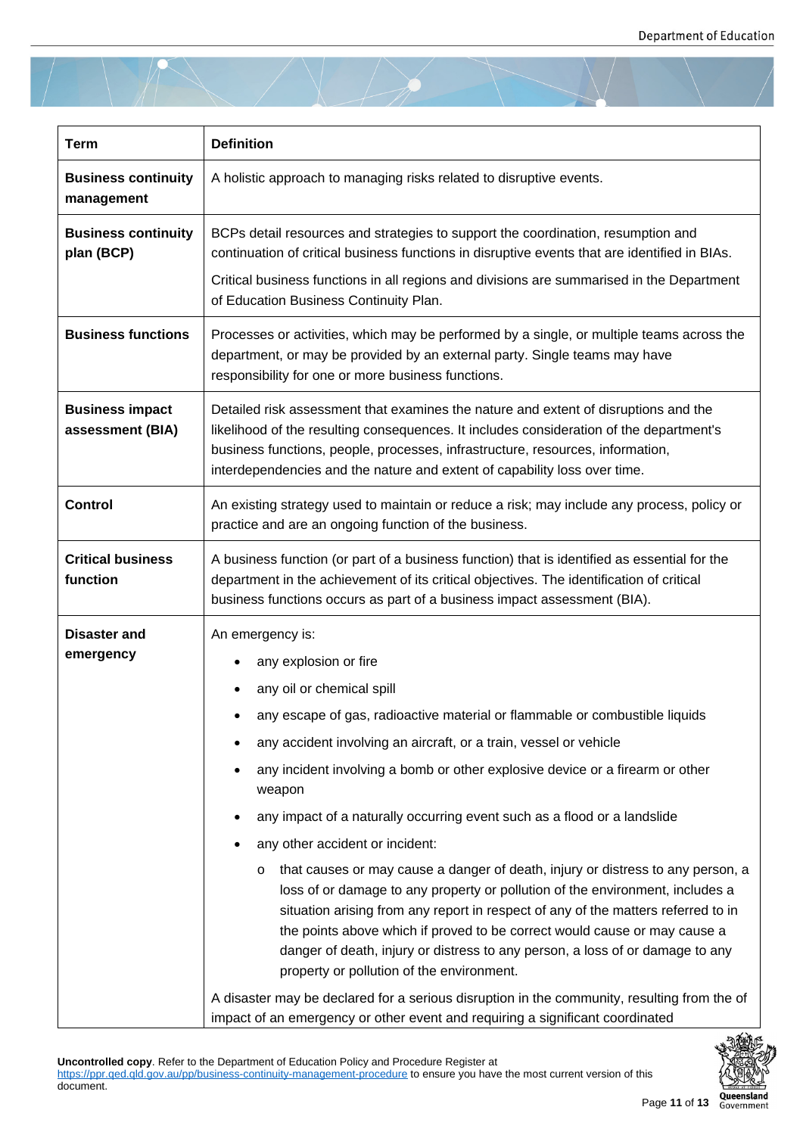| <b>Term</b>                                | <b>Definition</b>                                                                                                                                                                                                                                                                                                                                                                                                                                                                                                                                                                                                                                                                                                                                                                                                                                                                                                                                                                                                  |
|--------------------------------------------|--------------------------------------------------------------------------------------------------------------------------------------------------------------------------------------------------------------------------------------------------------------------------------------------------------------------------------------------------------------------------------------------------------------------------------------------------------------------------------------------------------------------------------------------------------------------------------------------------------------------------------------------------------------------------------------------------------------------------------------------------------------------------------------------------------------------------------------------------------------------------------------------------------------------------------------------------------------------------------------------------------------------|
| <b>Business continuity</b><br>management   | A holistic approach to managing risks related to disruptive events.                                                                                                                                                                                                                                                                                                                                                                                                                                                                                                                                                                                                                                                                                                                                                                                                                                                                                                                                                |
| <b>Business continuity</b><br>plan (BCP)   | BCPs detail resources and strategies to support the coordination, resumption and<br>continuation of critical business functions in disruptive events that are identified in BIAs.                                                                                                                                                                                                                                                                                                                                                                                                                                                                                                                                                                                                                                                                                                                                                                                                                                  |
|                                            | Critical business functions in all regions and divisions are summarised in the Department<br>of Education Business Continuity Plan.                                                                                                                                                                                                                                                                                                                                                                                                                                                                                                                                                                                                                                                                                                                                                                                                                                                                                |
| <b>Business functions</b>                  | Processes or activities, which may be performed by a single, or multiple teams across the<br>department, or may be provided by an external party. Single teams may have<br>responsibility for one or more business functions.                                                                                                                                                                                                                                                                                                                                                                                                                                                                                                                                                                                                                                                                                                                                                                                      |
| <b>Business impact</b><br>assessment (BIA) | Detailed risk assessment that examines the nature and extent of disruptions and the<br>likelihood of the resulting consequences. It includes consideration of the department's<br>business functions, people, processes, infrastructure, resources, information,<br>interdependencies and the nature and extent of capability loss over time.                                                                                                                                                                                                                                                                                                                                                                                                                                                                                                                                                                                                                                                                      |
| <b>Control</b>                             | An existing strategy used to maintain or reduce a risk; may include any process, policy or<br>practice and are an ongoing function of the business.                                                                                                                                                                                                                                                                                                                                                                                                                                                                                                                                                                                                                                                                                                                                                                                                                                                                |
| <b>Critical business</b><br>function       | A business function (or part of a business function) that is identified as essential for the<br>department in the achievement of its critical objectives. The identification of critical<br>business functions occurs as part of a business impact assessment (BIA).                                                                                                                                                                                                                                                                                                                                                                                                                                                                                                                                                                                                                                                                                                                                               |
| <b>Disaster and</b><br>emergency           | An emergency is:<br>any explosion or fire<br>any oil or chemical spill<br>any escape of gas, radioactive material or flammable or combustible liquids<br>any accident involving an aircraft, or a train, vessel or vehicle<br>any incident involving a bomb or other explosive device or a firearm or other<br>weapon<br>any impact of a naturally occurring event such as a flood or a landslide<br>any other accident or incident:<br>that causes or may cause a danger of death, injury or distress to any person, a<br>$\circ$<br>loss of or damage to any property or pollution of the environment, includes a<br>situation arising from any report in respect of any of the matters referred to in<br>the points above which if proved to be correct would cause or may cause a<br>danger of death, injury or distress to any person, a loss of or damage to any<br>property or pollution of the environment.<br>A disaster may be declared for a serious disruption in the community, resulting from the of |

**Uncontrolled copy**. Refer to the Department of Education Policy and Procedure Register at https://ppr.qed.qld.gov.au/pp/business-continuity-management-procedure to ensure you have the most current version of this document.

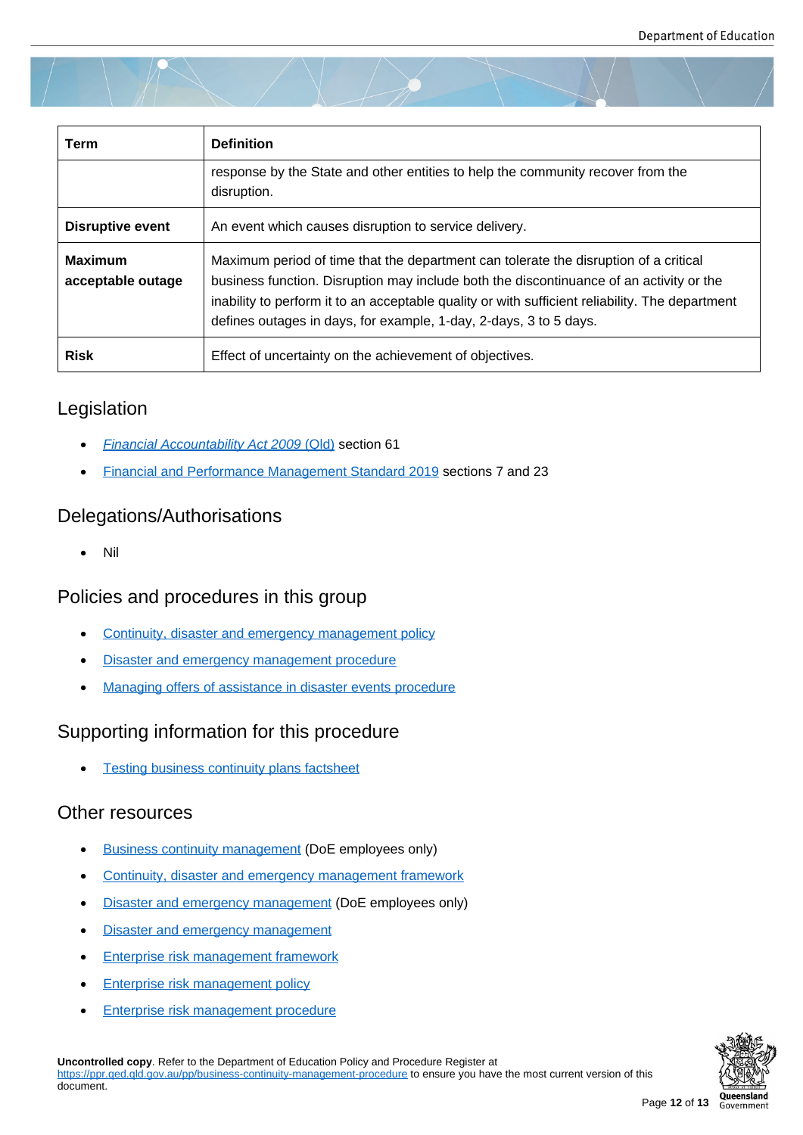| Term                                | <b>Definition</b>                                                                                                                                                                                                                                                                                                                                       |
|-------------------------------------|---------------------------------------------------------------------------------------------------------------------------------------------------------------------------------------------------------------------------------------------------------------------------------------------------------------------------------------------------------|
|                                     | response by the State and other entities to help the community recover from the<br>disruption.                                                                                                                                                                                                                                                          |
| <b>Disruptive event</b>             | An event which causes disruption to service delivery.                                                                                                                                                                                                                                                                                                   |
| <b>Maximum</b><br>acceptable outage | Maximum period of time that the department can tolerate the disruption of a critical<br>business function. Disruption may include both the discontinuance of an activity or the<br>inability to perform it to an acceptable quality or with sufficient reliability. The department<br>defines outages in days, for example, 1-day, 2-days, 3 to 5 days. |
| <b>Risk</b>                         | Effect of uncertainty on the achievement of objectives.                                                                                                                                                                                                                                                                                                 |

## Legislation

- *Financial Accountability Act 2009* (Qld) section 61
- Financial and Performance Management Standard 2019 sections 7 and 23

## Dele[gations/Authorisations](https://www.legislation.qld.gov.au/view/html/inforce/current/act-2009-009#sec.61)

[Nil](https://www.legislation.qld.gov.au/view/html/inforce/current/sl-2019-0182#pt.2)

## Policies and procedures in this group

- Continuity, disaster and emergency management policy
- **•** Disaster and emergency management procedure
- [Managing offers of assistance in disaster events](https://ppr.qed.qld.gov.au/pp/continuity-disaster-and-emergency-management-policy) procedure

## Supp[orting information for this procedure](https://ppr.qed.qld.gov.au/pp/disaster-and-emergency-management-procedure)

[Testing business continuity plans factsheet](https://ppr.qed.qld.gov.au/pp/managing-offers-of-assistance-in-disaster-events-procedure)

## Other resources

- [Business continuity management \(DoE emp](https://ppr.qed.qld.gov.au/attachment/testing-business-continuity-plans-factsheet.docx)loyees only)
- Continuity, disaster and emergency management framework
- [Disaster and emergency manage](https://intranet.qed.qld.gov.au/Services/strategymanagement/GSP/EnterpriseRiskManagement/Pages/Businesscontinuitymanagement.aspx)ment (DoE employees only)
- **[Disaster and emergency management](https://ppr.qed.qld.gov.au/attachment/continuity-disaster-and-emergency-management-framework.pdf)**
- **[Enterprise risk management framewor](https://intranet.qed.qld.gov.au/Services/strategymanagement/GSP/EnterpriseRiskManagement/Pages/disaster-and-emergency.aspx)k**
- [Enterprise risk management policy](https://qed.qld.gov.au/emergency-management)
- [Enterprise risk management procedure](https://ppr.qed.qld.gov.au/attachment/enterprise-risk-management-framework.pdf)

**Uncontrolled copy**[. Refer to the Department of Educ](https://ppr.qed.qld.gov.au/pp/enterprise-risk-management-policy)ation Policy and Procedure Register at https://pp[r.qed.qld.gov.au/pp/business-continuity-managem](https://ppr.qed.qld.gov.au/pp/enterprise-risk-management-procedure)ent-procedure to ensure you have the most current version of this document.